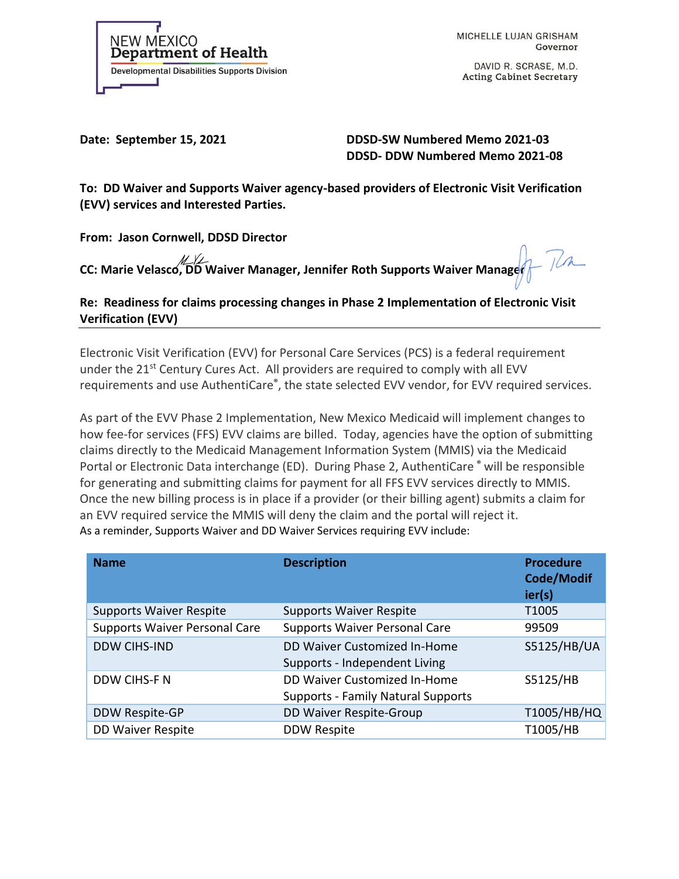

MICHELLE LUJAN GRISHAM Governor

DAVID R. SCRASE, M.D. **Acting Cabinet Secretary** 

Date: September 15, 2021 DDSD-SW Numbered Memo 2021-03  **DDSD- DDW Numbered Memo 2021-08**

**To: DD Waiver and Supports Waiver agency-based providers of Electronic Visit Verification (EVV) services and Interested Parties.**

**From: Jason Cornwell, DDSD Director** 

**CC: Marie Velasco, DD Waiver Manager, Jennifer Roth Supports Waiver Manager**

**Re: Readiness for claims processing changes in Phase 2 Implementation of Electronic Visit Verification (EVV)**

Electronic Visit Verification (EVV) for Personal Care Services (PCS) is a federal requirement under the 21<sup>st</sup> Century Cures Act. All providers are required to comply with all EVV requirements and use AuthentiCare**®** , the state selected EVV vendor, for EVV required services.

As part of the EVV Phase 2 Implementation, New Mexico Medicaid will implement changes to how fee-for services (FFS) EVV claims are billed. Today, agencies have the option of submitting claims directly to the Medicaid Management Information System (MMIS) via the Medicaid Portal or Electronic Data interchange (ED). During Phase 2, AuthentiCare **®** will be responsible for generating and submitting claims for payment for all FFS EVV services directly to MMIS. Once the new billing process is in place if a provider (or their billing agent) submits a claim for an EVV required service the MMIS will deny the claim and the portal will reject it. As a reminder, Supports Waiver and DD Waiver Services requiring EVV include:

| <b>Name</b>                          | <b>Description</b>                                                        | <b>Procedure</b><br><b>Code/Modif</b><br>ier(s) |
|--------------------------------------|---------------------------------------------------------------------------|-------------------------------------------------|
| <b>Supports Waiver Respite</b>       | <b>Supports Waiver Respite</b>                                            | T1005                                           |
| <b>Supports Waiver Personal Care</b> | <b>Supports Waiver Personal Care</b>                                      | 99509                                           |
| <b>DDW CIHS-IND</b>                  | DD Waiver Customized In-Home<br>Supports - Independent Living             | S5125/HB/UA                                     |
| DDW CIHS-F N                         | DD Waiver Customized In-Home<br><b>Supports - Family Natural Supports</b> | S5125/HB                                        |
| DDW Respite-GP                       | DD Waiver Respite-Group                                                   | T1005/HB/HQ                                     |
| <b>DD Waiver Respite</b>             | <b>DDW Respite</b>                                                        | T1005/HB                                        |